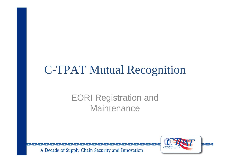# C-TPAT Mutual Recognition

## EORI Registration and **Maintenance**

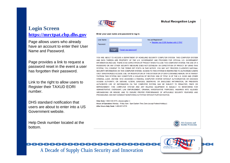#### **Mutual Recognition Login**

#### **Login Screen [https://mrctpat.cbp.dhs.gov](https://mrctpat.cbp.dhs.gov/)**

Page allows users who already have an account to enter their User Name and Password.

Page provides a link to request a password reset in the event a user has forgotten their password.

Link to the right to allow users to Register their TAXUD EORI number.

DHS standard notification that users are about to enter into a US Government website.

Help Desk number located at the bottom.

A Decade of Supply Chain Security and Innovation



#### Enter your user name and password to log in:

| User Name<br>Password |       |                       | Not yet Registered?:<br>. Register your EORI Number with C-TPAT |
|-----------------------|-------|-----------------------|-----------------------------------------------------------------|
|                       | Login | Forgot your password? |                                                                 |

YOU ARE AROUT TO ACCESS A DEPARTMENT OF HOMELAND SECURITY COMPUTER SYSTEM. THIS COMPUTER AND DATA THEREIN ARE PROPERTY OF THE U.S. GOVERNMENT AND PROVIDED FOR OFFICIAL U.S. INFORMATION AND USE. THERE IS NO EXPECTATION OF PRIVACY WHEN YOU USE THIS COMPUTER SYSTEM. PASSWORD OR ANY OTHER SECURITY MEASURE DOES NOT ESTABLISH AN EXPECTATION OF PRIVACY SYSTEM. YOU CONSENT TO THE TERMS SET FORTH IN THIS NOTICE. YOU MAY NOT PROCESS CLASS SECURITY INFORMATION ON THIS COMPUTER SYSTEM, ACCESS TO THIS SYSTEM IS RESTRICTED TO AUTHORIZED USERS ONLY, UNAUTHORIZED ACCESS, USE, OR MODIFICATION OF THIS SYSTEM OR OF DATA CONTAINED HEREIN. TO/FROM THIS SYSTEM. MAY CONSTITUTE A VIOLATION OF SECTION 1030 OF TITLE 18 OF THE U.S. CODE CRIMINAL LAWS. ANYONE WHO ACCESSES A FEDERAL COMPUTER SYSTEM WITHOUT AUTHORIZATION ACCESS AUTHORITY OR OBTAINS ALTERS DAMAGES DESTROYS OR DISCLOSES INFORMATION PREVENTS AUTHORIZED USE OF INFORMATION ON THE COMPUTER SYSTEM. MAY RE SUBJECT IMPRISONMENT. THIS COMPUTER SYSTEM AND ANY RELATED EQUIPMENT IS SUBJECT ADMINISTRATIVE OVERSIGHT. LAW ENFORCEMENT, CRIMINAL INVESTIGATIVE PURPOSES, INQUIRIES INTO WRONGDOING OR MISUSE. AND TO ENSURE PROPER PERFORMANCE OF APPLICABLE SECURITY FEATURES AND PROCEDURES. DHS MAY CONDUCT MONITORING ACTIVITIES WITHOUT FURTHER NOTICE

Help Desk: 1-866-530-4172, choose option 4 Hours of Operation: Monday - Friday 8am - 5pm Eastern Time Zone (except Federal Holidays) After Hours Help Desk: 1-800-927-8729



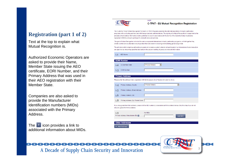### **Registration (part 1 of 2)**

Text at the top to explain what Mutual Recognition is.

Authorized Economic Operators are asked to provide their Name, Member State issuing the AEO certificate, EORI Number, and their Primary Address that was used in their AEO registration with their Member State.

Companies are also asked to provide the Manufacturer Identification numbers (MIDs) associated with the Primary Address.

The : icon provides a link to additional information about MIDs.



#### **C-TPAT - EU Mutual Recognition Registration**

The Customs-Trade Partnership Against Terrorism (C-TPAT) Program promotes the internationalization of industry partnership programs with our trading partners and with foreign customs administrations. The signing of a Mutual Recognition Arrangement is the procedure that enables information sharing activities to occur in accordance with the terms of the Customs Mutual Assistance Agreement (CMAA) and each participant's domestic laws and policies.

The goal of Mutual Recognition is to link the various equivalent international industry partnership programs, so that together they create a unified and sustainable security posture that can assist in securing and facilitating plobal cargo trad

Login

The principle behind aligning partnership programs is to create a system whereby all participants in an international trade transaction are approved as observing specified standards in the secure handling of goods and relevant information

| 1.1 | AEO Name                                |                                                                                                                                     |
|-----|-----------------------------------------|-------------------------------------------------------------------------------------------------------------------------------------|
|     | <b>EORI Number</b>                      |                                                                                                                                     |
| 1.2 | EU Member State                         | (Please Select)<br>$\overline{\phantom{a}}$                                                                                         |
| 1.3 | <b>EORI Number</b>                      |                                                                                                                                     |
|     | <b>Primary Address</b>                  | Please enter the address that is registered with the European Union Taxation & Customs Union.                                       |
| 1.4 | Primary Address, Country                | $\overline{\phantom{a}}$<br>(Please Select)                                                                                         |
| 1.5 | Primary Address, Street Address         |                                                                                                                                     |
| 1.6 | Primary Address, City                   |                                                                                                                                     |
| 1.8 | Primary Address, Zip / Postal Code      |                                                                                                                                     |
|     | ship any goods from this address.       | If you ship goods from this address, please list the MID number(s) associated with this address below. Skip this step if you do not |
| 1.9 | Primary Address, Manufacturer IDs       | No MIDs<br><b>Add MID</b>                                                                                                           |
|     | <b>Other Addresses</b><br>+ Add Address |                                                                                                                                     |

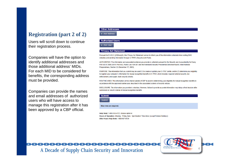#### **Registration (part 2 of 2)**

Users will scroll down to continue their registration process.

Companies will have the option to identify additional addresses and those additional address' MIDs. For each MID to be considered for benefits, the corresponding address must be provided.

Companies can provide the names and email addresses of authorized users who will have access to manage this registration after it has been approved by a CBP official.

#### **Other Addresses**

+ Add Address

#### **Authorized Users**

Add User

#### **Privacy Act Statement**

Pursuant to 5 U.S.C. § 552a(e)(3), this Privacy Act Statement serves to inform you of the information collected when visiting DHS websites and sending information through C-TPAT's Security Link Portal

AUTHORITIES: The information and associated evidence vou provide is collected pursuant to the Security and Accountability for Every Port Act of 2006 (SAFE Port Act), Public Law 109-347 and the Homeland Security Presidential Directive/Hspd-8, titled National Preparedness, Section 22 (December 17, 2003).

PURPOSE: The information that you submit may be used (1) to create or update your C-TPAT profile, and/or (2) determine your eligibility to register your company's information for mutual recognition benefits in C-TPAT, which includes required national security, law enforcement, and supply chain security checks.

ROUTINE USES: This information will be shared outside of CBP to assist in determining your eligibility for mutual recognition benefits in accordance with the annroved routine uses described in the associated systems of records notices

DISCLOSURE: The information you provide is voluntary. However, failure to provide accurate information may delay a final decision after submission or result in denial of mutual recognition benefits

| <b>Submit</b>                                |
|----------------------------------------------|
| Submit                                       |
| Blue rows are required.                      |
| The books of non-room and the communities of |

Help Desk: 1-866-530-4172, choose option 4 Hours of Operation: Monday - Friday 8am - 5pm Eastern Time Zone (except Federal Holidays) After Hours Help Desk: 1-800-927-8729

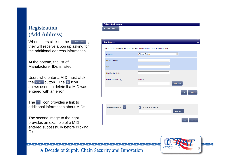### **Registration (Add Address)**

When users click on the  $\left| \cdot \right|$   $\left| \cdot \right|$  Add Address they will receive a pop up asking for the additional address information.

At the bottom, the list of Manufacturer IDs is listed.

Users who enter a MID must click the  $\overline{b}$  add MID **button. The**  $\overline{a}$  **icon** allows users to delete if a MID was entered with an error.

The  $\mathbf{r}$  icon provides a link to additional information about MIDs.

The second image to the right provides an example of a MID entered successfully before clicking Ok.

#### Add Address Please identify any addresses that you ship goods from and their associated MID(s).  $\overline{\blacksquare}$ (Please Select) Country **Street Address** City Zip / Postal Code

No MIDs

**Other Addresses Add Address** 

Manufacturer IDs **Pa** 



A Decade of Supply Chain Security and Innovation



Cancel

Add MID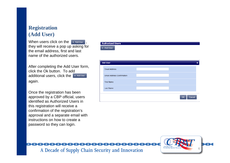### **Registration (Add User)**

When users click on the  $\sqrt{ }$  + Add User they will receive a pop up asking for the email address, first and last name of the authorized users.

After completing the Add User form, click the Ok button. To add additional users, click the + Add User again.

Once the registration has been approved by a CBP official, users identified as Authorized Users in this registration will receive a confirmation of the registration's approval and a separate email with instructions on how to create a password so they can login.

**Authorized Users** + Add User

| <b>Add User</b>                   | $\boldsymbol{\mathsf{x}}$ |
|-----------------------------------|---------------------------|
| <b>Email Address</b>              |                           |
| <b>Email Address Confirmation</b> |                           |
| <b>First Name</b>                 |                           |
| Last Name                         |                           |
|                                   | OK<br>Cancel              |

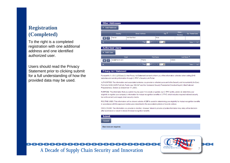### **Registration (Completed)**

To the right is a completed registration with one additional address and one identified authorized user.

Users should read the Privacy Statement prior to clicking submit for a full understanding of how the provided data may be used.

| Country<br>444 Rue Plum | <b>Street Address</b><br><b>THE KILL Page 1</b> | Paris<br>of 1 $\rightarrow$ $\rightarrow$ 20 $\boxed{2}$ | $City =$ | State /<br>Province                                                                                       | Zip / Postal Code     |
|-------------------------|-------------------------------------------------|----------------------------------------------------------|----------|-----------------------------------------------------------------------------------------------------------|-----------------------|
|                         |                                                 |                                                          |          |                                                                                                           |                       |
|                         |                                                 |                                                          |          |                                                                                                           |                       |
|                         |                                                 |                                                          |          |                                                                                                           |                       |
|                         |                                                 |                                                          |          |                                                                                                           | View 1 - 1 of 1       |
|                         |                                                 |                                                          |          |                                                                                                           |                       |
| <b>Authorized Users</b> |                                                 |                                                          |          |                                                                                                           |                       |
|                         |                                                 |                                                          |          |                                                                                                           |                       |
| Email                   |                                                 | <b>First Name</b>                                        |          |                                                                                                           | Last Name $\triangle$ |
| test@french.com         | FName                                           |                                                          | LName    |                                                                                                           |                       |
|                         |                                                 |                                                          |          |                                                                                                           | View 1 - 1 of 1       |
|                         |                                                 |                                                          |          | of 1 $\rightarrow$ $\rightarrow$ 20 $\boxed{2}$<br>$\left  \cdot \right $ < $\left  \cdot \right $ Page 1 |                       |

#### **Privacy Act Statement**

Pursuant to 5 U.S.C. § 552a(e)(3), this Privacy Act Statement serves to inform you of the information collected when visiting DHS websites and sending information through C-TPAT's Security Link Portal.

AUTHORITIES: The information and associated evidence you provide is collected pursuant to the Security and Accountability for Every Port Act of 2006 (SAFE Port Act), Public Law 109-347 and the Homeland Security Presidential Directive/Hspd-8, titled National Preparedness, Section 22 (December 17, 2003).

PURPOSE: The information that you submit may be used (1) to create or update your C-TPAT profile, and/or (2) determine your eligibility to register your company's information for mutual recognition benefits in C-TPAT, which includes reguired national security. law enforcement, and supply chain security checks.

ROUTINE USES: This information will be shared outside of CBP to assist in determining your eligibility for mutual recognition benefits in accordance with the approved routine uses described in the associated systems of records notices

DISCLOSURE: The information you provide is voluntary. However, failure to provide accurate information may delay a final decision after submission or result in denial of mutual recognition benefits.

| <b>Submit</b>           |  |  |  |
|-------------------------|--|--|--|
| <b>Submit</b>           |  |  |  |
| Blue rows are required. |  |  |  |



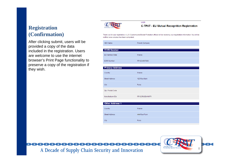### **Registration (Confirmation)**

After clicking submit, users will be provided a copy of the data included in the registration. Users are welcome to use the internet browser's Print Page functionality to preserve a copy of the registration if they wish.



#### Login **C-TPAT - EU Mutual Recognition Registration**

Thank you for your registration. A U.S. Customs and Border Protection official will be reviewing your registration information. You will be notified once a review has been completed.

| AEO Name               | French Company |
|------------------------|----------------|
| <b>EORI Number</b>     |                |
| EU Member State        | France         |
| <b>EORI Number</b>     | FR1234567890   |
| <b>Primary Address</b> |                |
| Country                | France         |
| <b>Street Address</b>  | 123 Rue Main   |
| City                   | Paris          |
| Zip / Postal Code      |                |
| Manufacturer IDs       | FR123RUEMAINFR |
| <b>Other Address 1</b> |                |
| Country                | France         |
| <b>Street Address</b>  | 444 Rue Plum   |
| City                   | Paris          |



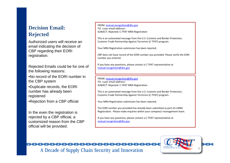### **Decision Email: Rejected**

Authorized users will receive an email indicating the decision of CBP regarding their EORI registration.

Rejected Emails could be for one of the following reasons:

•No record of the EORI number in the CBP system

•Duplicate records, the EORI number has already been registered

•Rejection from a CBP official

In the even the registration is rejected by a CBP official, a customized reason from the CBP official will be provided.

FROM: [mutual.recognition@dhs.gov](mailto:mutual.recognition@dhs.gov) TO: <user email address>SUBJECT: Rejected: C-TPAT MRA Registration

This is an automated message from the U.S. Customs and Border Protection, Customs-Trade Partnership Against Terrorism (C-TPAT) program.

Your MRA Registration submission has been rejected.

CBP does not have record of the EORI number you provided. Please verify the EORI number you entered.

If you have any questions, please contact a C-TPAT representative at [mutual.recognition@dhs.gov](mailto:mutual.recognition@dhs.gov)

FROM: [mutual.recognition@dhs.gov](mailto:mutual.recognition@dhs.gov) TO: <user email address>SUBJECT: Rejected: C-TPAT MRA Registration

This is an automated message from the U.S. Customs and Border Protection, Customs-Trade Partnership Against Terrorism (C-TPAT) program.

Your MRA Registration submission has been rejected.

The EORI number you provided has already been submitted as part of a MRA Registration. Please make inquiries within your company's management team.

If you have any questions, please contact a C-TPAT representative at [mutual.recognition@dhs.gov](mailto:mutual.recognition@dhs.gov)



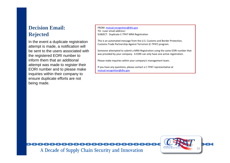### **Decision Email: Rejected**

In the event a duplicate registration attempt is made, a notification will be sent to the users associated with the registered EORI number to inform them that an additional attempt was made to register their EORI number and to please make inquiries within their company to ensure duplicate efforts are not being made.

FROM: [mutual.recognition@dhs.gov](mailto:mutual.recognition@dhs.gov) TO: <user email address>SUBJECT: Duplicate C-TPAT MRA Registration

This is an automated message from the U.S. Customs and Border Protection, Customs-Trade Partnership Against Terrorism (C-TPAT) program.

Someone attempted to submit a MRA Registration using the same EORI number that was provided by your company. A EORI can only have one active registration.

Please make inquiries within your company's management team.

If you have any questions, please contact a C-TPAT representative at [mutual.recognition@dhs.gov](mailto:mutual.recognition@dhs.gov)

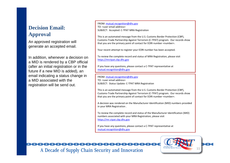### **Decision Email: Approval**

An approved registration will generate an accepted email.

In addition, whenever a decision on a MID is rendered by a CBP official (after an initial registration or in the future if a new MID is added), an email indicating a status change in a MID associated with the registration will be send out.

FROM: [mutual.recognition@dhs.gov](mailto:mutual.recognition@dhs.gov) TO: <user email address> SUBJECT: Accepted: C-TPAT MRA Registration

This is an automated message from the U.S. Customs Border Protection (CBP), Customs-Trade Partnership Against Terrorism (C-TPAT) program. Our records show that you are the primary point of contact for EORI number <number>.

Your recent attempt to register your EORI number has been accepted.

To review the complete record and status of MRA Registration, please visit [https://mrctpat.cbp.dhs.gov](https://mrctpat.cbp.dhs.gov/)

If you have any questions, please contact a C-TPAT representative at [mutual.recognition@dhs.gov](mailto:mutual.recognition@dhs.gov)

FROM: [mutual.recognition@dhs.gov](mailto:mutual.recognition@dhs.gov) TO: <user email address>SUBJECT: Status Update: C-TPAT MRA Registration

This is an automated message from the U.S. Customs Border Protection (CBP), Customs-Trade Partnership Against Terrorism (C-TPAT) program. Our records show that you are the primary point of contact for EORI number <number>.

A decision was rendered on the Manufacturer Identification (MID) numbers provided in your MRA Registration .

To review the complete record and status of the Manufacturer Identification (MID) numbers associated with your MRA Registration, please visit [https://mr.ctpat.cbp.dhs.gov](https://mr.ctpat.cbp.dhs.gov/)

If you have any questions, please contact a C-TPAT representative at [mutual.recognition@dhs.gov](mailto:mutual.recognition@dhs.gov)



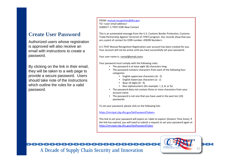### **Create User Password**

Authorized users whose registration is approved will also receive an email with instructions to create a password.

By clicking on the link in their email, they will be taken to a web page to provide a secure password. Users should take note of the instructions which outline the rules for a valid password.

FROM: [mutual.recognition@dhs.gov](mailto:mutual.recognition@dhs.gov) TO: <user email address>SUBJECT: C-TPAT EORI New Contact

This is an automated message from the U.S. Customs Border Protection, Customs-Trade Partnership Against Terrorism (C-TPAT) program. Our records show that you are a point of contact for EORI number <ERORI Number>.

A C-TPAT Mutual Recognition Registration user account has been created for you. Your account will not be active until you have successfully set your password.

Your user name is: <email@email.com>

Your password must comply with the following rules:

- The password is at least eight (8) characters long
- The password contains characters from each of the following four categories:
	- English uppercase characters (A Z)
	- English lowercase characters (a z)
	- •Base 10 digits (0 - 9)
	- Non-alphanumeric (for example: !, \$, #, or %)
- The password does not contain three or more characters from your account name
- The password is not one that you have used in the past ten (10) passwords

[T](https://devintmr.ctpat.cbp.dhs.gov/SetPassword?token=YMEDGgc?)o set your password, please click on the following link:

[https://mrctpat.cbp.dhs.gov/SetPassword?token=](https://devintmr.ctpat.cbp.dhs.gov/SetPassword?token=YMEDGgc?)

This link to set your password will expire on <date to expire> (Eastern Time Zone). If the link has expired, you will need to submit a request to set your password again at [https://mrctpat.cbp.dhs.gov/GetPasswordToken](https://devintmr.ctpat.cbp.dhs.gov/GetPasswordToken)